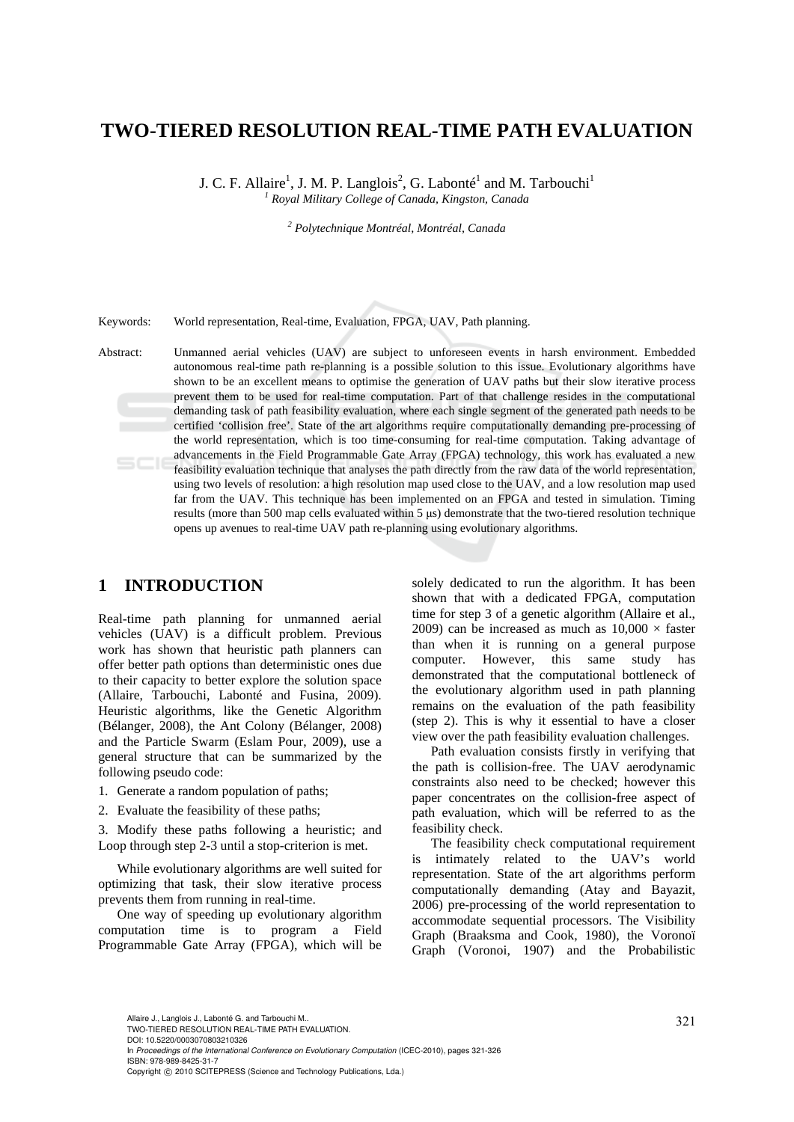# **TWO-TIERED RESOLUTION REAL-TIME PATH EVALUATION**

J. C. F. Allaire<sup>1</sup>, J. M. P. Langlois<sup>2</sup>, G. Labonté<sup>1</sup> and M. Tarbouchi<sup>1</sup> *1 Royal Military College of Canada, Kingston, Canada* 

*2 Polytechnique Montréal, Montréal, Canada* 

Keywords: World representation, Real-time, Evaluation, FPGA, UAV, Path planning.

Abstract: Unmanned aerial vehicles (UAV) are subject to unforeseen events in harsh environment. Embedded autonomous real-time path re-planning is a possible solution to this issue. Evolutionary algorithms have shown to be an excellent means to optimise the generation of UAV paths but their slow iterative process prevent them to be used for real-time computation. Part of that challenge resides in the computational demanding task of path feasibility evaluation, where each single segment of the generated path needs to be certified 'collision free'. State of the art algorithms require computationally demanding pre-processing of the world representation, which is too time-consuming for real-time computation. Taking advantage of advancements in the Field Programmable Gate Array (FPGA) technology, this work has evaluated a new feasibility evaluation technique that analyses the path directly from the raw data of the world representation, using two levels of resolution: a high resolution map used close to the UAV, and a low resolution map used far from the UAV. This technique has been implemented on an FPGA and tested in simulation. Timing results (more than 500 map cells evaluated within 5 μs) demonstrate that the two-tiered resolution technique opens up avenues to real-time UAV path re-planning using evolutionary algorithms.

## **1 INTRODUCTION**

Real-time path planning for unmanned aerial vehicles (UAV) is a difficult problem. Previous work has shown that heuristic path planners can offer better path options than deterministic ones due to their capacity to better explore the solution space (Allaire, Tarbouchi, Labonté and Fusina, 2009). Heuristic algorithms, like the Genetic Algorithm (Bélanger, 2008), the Ant Colony (Bélanger, 2008) and the Particle Swarm (Eslam Pour, 2009), use a general structure that can be summarized by the following pseudo code:

- 1. Generate a random population of paths;
- 2. Evaluate the feasibility of these paths;

3. Modify these paths following a heuristic; and Loop through step 2-3 until a stop-criterion is met.

While evolutionary algorithms are well suited for optimizing that task, their slow iterative process prevents them from running in real-time.

One way of speeding up evolutionary algorithm computation time is to program a Field Programmable Gate Array (FPGA), which will be

solely dedicated to run the algorithm. It has been shown that with a dedicated FPGA, computation time for step 3 of a genetic algorithm (Allaire et al., 2009) can be increased as much as  $10,000 \times$  faster than when it is running on a general purpose computer. However, this same study has demonstrated that the computational bottleneck of the evolutionary algorithm used in path planning remains on the evaluation of the path feasibility (step 2). This is why it essential to have a closer view over the path feasibility evaluation challenges.

Path evaluation consists firstly in verifying that the path is collision-free. The UAV aerodynamic constraints also need to be checked; however this paper concentrates on the collision-free aspect of path evaluation, which will be referred to as the feasibility check.

The feasibility check computational requirement is intimately related to the UAV's world representation. State of the art algorithms perform computationally demanding (Atay and Bayazit, 2006) pre-processing of the world representation to accommodate sequential processors. The Visibility Graph (Braaksma and Cook, 1980), the Voronoï Graph (Voronoi, 1907) and the Probabilistic

DOI: 10.5220/0003070803210326

In *Proceedings of the International Conference on Evolutionary Computation* (ICEC-2010), pages 321-326 ISBN: 978-989-8425-31-7

Copyright © 2010 SCITEPRESS (Science and Technology Publications, Lda.)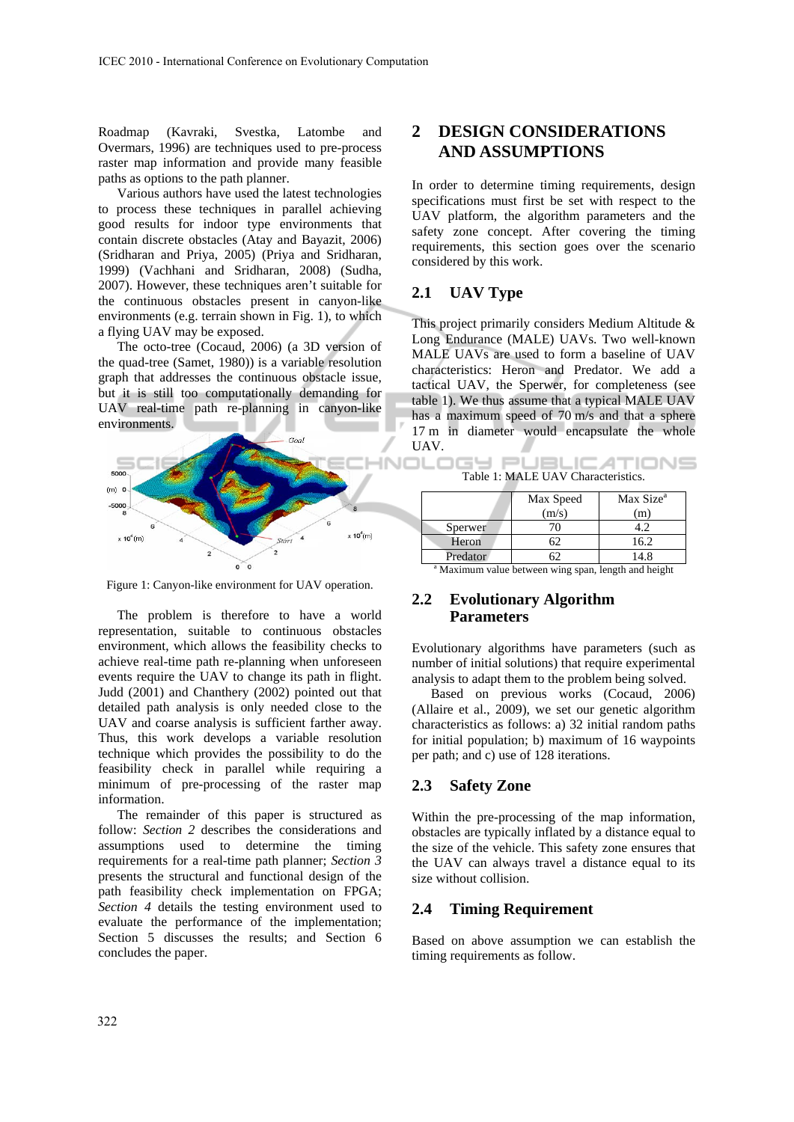Roadmap (Kavraki, Svestka, Latombe and Overmars, 1996) are techniques used to pre-process raster map information and provide many feasible paths as options to the path planner.

Various authors have used the latest technologies to process these techniques in parallel achieving good results for indoor type environments that contain discrete obstacles (Atay and Bayazit, 2006) (Sridharan and Priya, 2005) (Priya and Sridharan, 1999) (Vachhani and Sridharan, 2008) (Sudha, 2007). However, these techniques aren't suitable for the continuous obstacles present in canyon-like environments (e.g. terrain shown in Fig. 1), to which a flying UAV may be exposed.

The octo-tree (Cocaud, 2006) (a 3D version of the quad-tree (Samet, 1980)) is a variable resolution graph that addresses the continuous obstacle issue, but it is still too computationally demanding for UAV real-time path re-planning in canyon-like environments.



Figure 1: Canyon-like environment for UAV operation.

The problem is therefore to have a world representation, suitable to continuous obstacles environment, which allows the feasibility checks to achieve real-time path re-planning when unforeseen events require the UAV to change its path in flight. Judd (2001) and Chanthery (2002) pointed out that detailed path analysis is only needed close to the UAV and coarse analysis is sufficient farther away. Thus, this work develops a variable resolution technique which provides the possibility to do the feasibility check in parallel while requiring a minimum of pre-processing of the raster map information.

The remainder of this paper is structured as follow: *Section 2* describes the considerations and assumptions used to determine the timing requirements for a real-time path planner; *Section 3* presents the structural and functional design of the path feasibility check implementation on FPGA; *Section 4* details the testing environment used to evaluate the performance of the implementation; Section 5 discusses the results; and Section 6 concludes the paper.

# **2 DESIGN CONSIDERATIONS AND ASSUMPTIONS**

In order to determine timing requirements, design specifications must first be set with respect to the UAV platform, the algorithm parameters and the safety zone concept. After covering the timing requirements, this section goes over the scenario considered by this work.

## **2.1 UAV Type**

ם∟כ

This project primarily considers Medium Altitude & Long Endurance (MALE) UAVs. Two well-known MALE UAVs are used to form a baseline of UAV characteristics: Heron and Predator. We add a tactical UAV, the Sperwer, for completeness (see table 1). We thus assume that a typical MALE UAV has a maximum speed of 70 m/s and that a sphere 17 m in diameter would encapsulate the whole UAV.

| Table 1: MALE UAV Characteristics. |  |  |  |
|------------------------------------|--|--|--|

|                                                                 | Max Speed<br>(m/s) | Max Size <sup>a</sup><br>(m) |  |  |  |
|-----------------------------------------------------------------|--------------------|------------------------------|--|--|--|
| Sperwer                                                         | 70                 | 4.2                          |  |  |  |
| Heron                                                           | 62.                | 16.2                         |  |  |  |
| Predator                                                        | 62.                | 14.8                         |  |  |  |
| <sup>a</sup> Maximum value between wing span, length and height |                    |                              |  |  |  |

## **2.2 Evolutionary Algorithm Parameters**

Evolutionary algorithms have parameters (such as number of initial solutions) that require experimental analysis to adapt them to the problem being solved.

Based on previous works (Cocaud, 2006) (Allaire et al.,  $2009$ ), we set our genetic algorithm characteristics as follows: a) 32 initial random paths for initial population; b) maximum of 16 waypoints per path; and c) use of 128 iterations.

## **2.3 Safety Zone**

Within the pre-processing of the map information, obstacles are typically inflated by a distance equal to the size of the vehicle. This safety zone ensures that the UAV can always travel a distance equal to its size without collision.

## **2.4 Timing Requirement**

Based on above assumption we can establish the timing requirements as follow.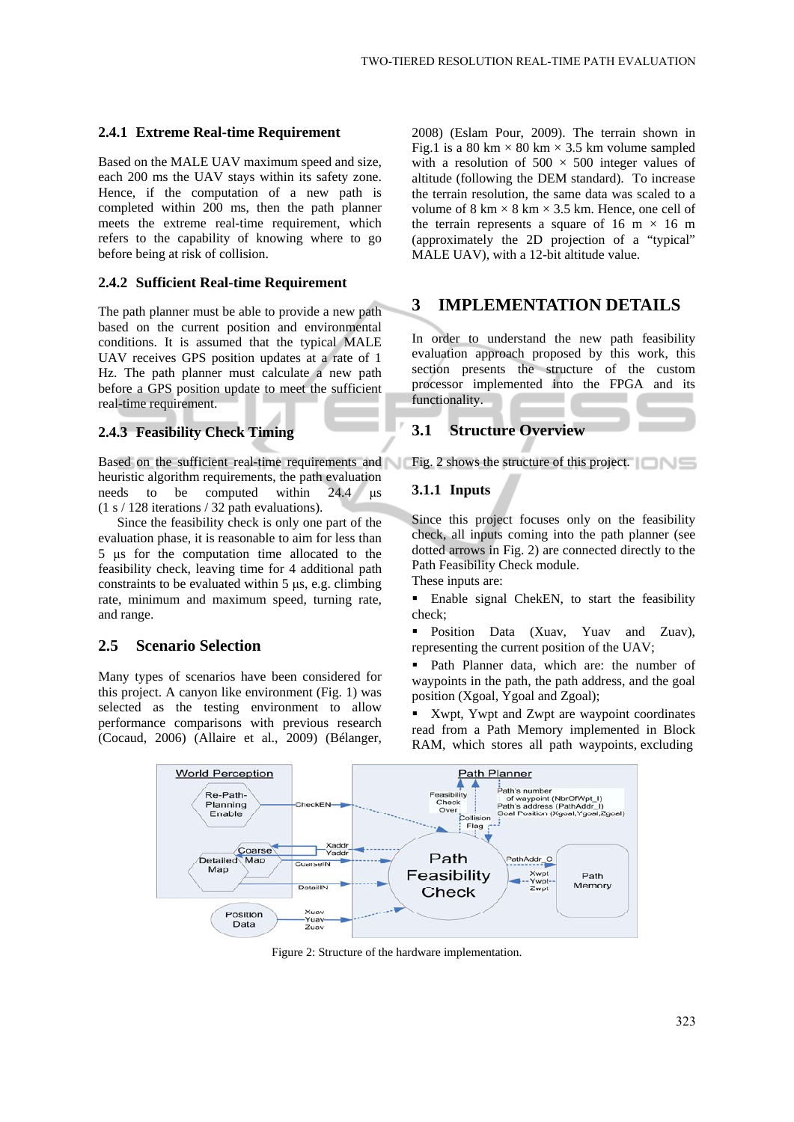#### **2.4.1 Extreme Real-time Requirement**

Based on the MALE UAV maximum speed and size, each 200 ms the UAV stays within its safety zone. Hence, if the computation of a new path is completed within 200 ms, then the path planner meets the extreme real-time requirement, which refers to the capability of knowing where to go before being at risk of collision.

### **2.4.2 Sufficient Real-time Requirement**

The path planner must be able to provide a new path based on the current position and environmental conditions. It is assumed that the typical MALE UAV receives GPS position updates at a rate of 1 Hz. The path planner must calculate a new path before a GPS position update to meet the sufficient real-time requirement.

## **2.4.3 Feasibility Check Timing**

Based on the sufficient real-time requirements and heuristic algorithm requirements, the path evaluation needs to be computed within 24.4 μs (1 s / 128 iterations / 32 path evaluations).

Since the feasibility check is only one part of the evaluation phase, it is reasonable to aim for less than 5 μs for the computation time allocated to the feasibility check, leaving time for 4 additional path constraints to be evaluated within 5 μs, e.g. climbing rate, minimum and maximum speed, turning rate, and range.

## **2.5 Scenario Selection**

Many types of scenarios have been considered for this project. A canyon like environment (Fig. 1) was selected as the testing environment to allow performance comparisons with previous research (Cocaud, 2006) (Allaire et al., 2009) (Bélanger,

2008) (Eslam Pour, 2009). The terrain shown in Fig.1 is a 80 km  $\times$  80 km  $\times$  3.5 km volume sampled with a resolution of  $500 \times 500$  integer values of altitude (following the DEM standard). To increase the terrain resolution, the same data was scaled to a volume of  $8 \text{ km} \times 8 \text{ km} \times 3.5 \text{ km}$ . Hence, one cell of the terrain represents a square of 16 m  $\times$  16 m (approximately the 2D projection of a "typical" MALE UAV), with a 12-bit altitude value.

## **3 IMPLEMENTATION DETAILS**

In order to understand the new path feasibility evaluation approach proposed by this work, this section presents the structure of the custom processor implemented into the FPGA and its functionality.

## **3.1 Structure Overview**

Fig. 2 shows the structure of this project.

## **3.1.1 Inputs**

Since this project focuses only on the feasibility check, all inputs coming into the path planner (see dotted arrows in Fig. 2) are connected directly to the Path Feasibility Check module.

These inputs are:

 Enable signal ChekEN, to start the feasibility check;

**Position Data (Xuav, Yuav and Zuav),** representing the current position of the UAV;

 Path Planner data, which are: the number of waypoints in the path, the path address, and the goal position (Xgoal, Ygoal and Zgoal);

**Xwpt**, Ywpt and Zwpt are waypoint coordinates read from a Path Memory implemented in Block RAM, which stores all path waypoints, excluding



Figure 2: Structure of the hardware implementation.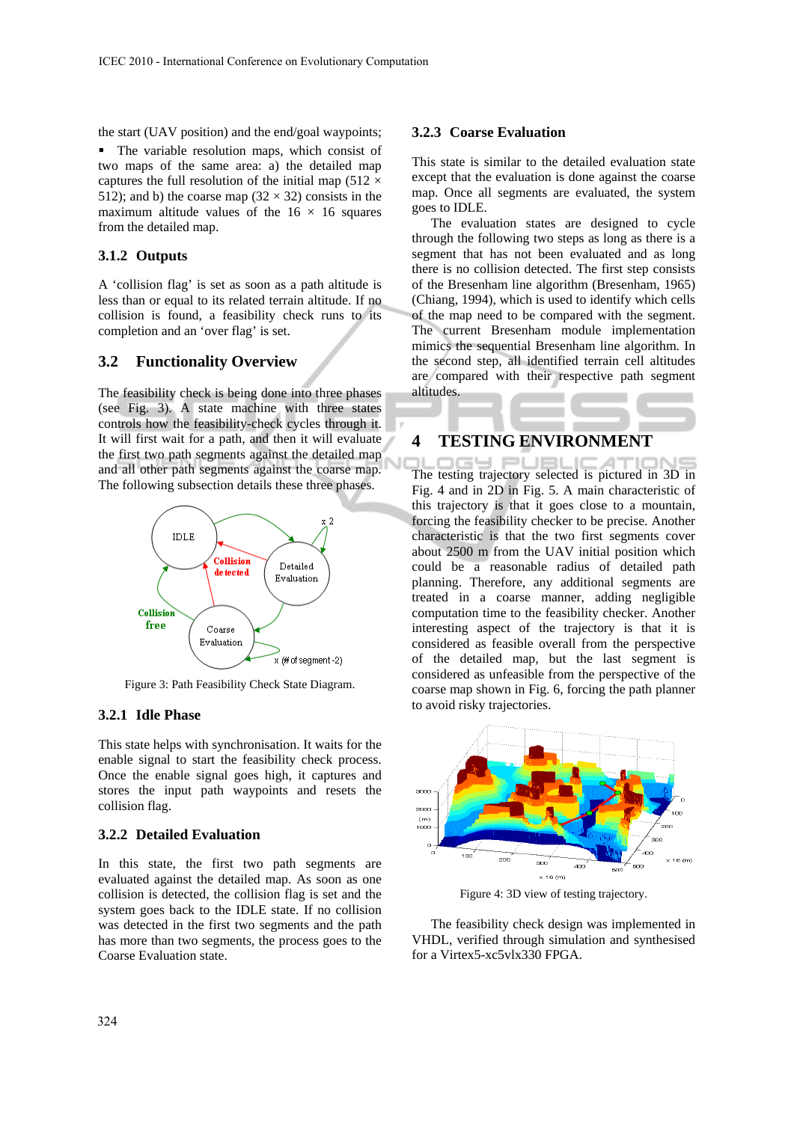the start (UAV position) and the end/goal waypoints;

 The variable resolution maps, which consist of two maps of the same area: a) the detailed map captures the full resolution of the initial map (512  $\times$ 512); and b) the coarse map  $(32 \times 32)$  consists in the maximum altitude values of the  $16 \times 16$  squares from the detailed map.

## **3.1.2 Outputs**

A 'collision flag' is set as soon as a path altitude is less than or equal to its related terrain altitude. If no collision is found, a feasibility check runs to its completion and an 'over flag' is set.

#### **3.2 Functionality Overview**

The feasibility check is being done into three phases (see Fig. 3). A state machine with three states controls how the feasibility-check cycles through it. It will first wait for a path, and then it will evaluate the first two path segments against the detailed map and all other path segments against the coarse map. The following subsection details these three phases.



Figure 3: Path Feasibility Check State Diagram.

#### **3.2.1 Idle Phase**

This state helps with synchronisation. It waits for the enable signal to start the feasibility check process. Once the enable signal goes high, it captures and stores the input path waypoints and resets the collision flag.

#### **3.2.2 Detailed Evaluation**

In this state, the first two path segments are evaluated against the detailed map. As soon as one collision is detected, the collision flag is set and the system goes back to the IDLE state. If no collision was detected in the first two segments and the path has more than two segments, the process goes to the Coarse Evaluation state.

#### **3.2.3 Coarse Evaluation**

This state is similar to the detailed evaluation state except that the evaluation is done against the coarse map. Once all segments are evaluated, the system goes to IDLE.

The evaluation states are designed to cycle through the following two steps as long as there is a segment that has not been evaluated and as long there is no collision detected. The first step consists of the Bresenham line algorithm (Bresenham, 1965) (Chiang, 1994), which is used to identify which cells of the map need to be compared with the segment. The current Bresenham module implementation mimics the sequential Bresenham line algorithm. In the second step, all identified terrain cell altitudes are compared with their respective path segment altitudes.

## **4 TESTING ENVIRONMENT**

The testing trajectory selected is pictured in 3D in Fig. 4 and in 2D in Fig. 5. A main characteristic of this trajectory is that it goes close to a mountain, forcing the feasibility checker to be precise. Another characteristic is that the two first segments cover about 2500 m from the UAV initial position which could be a reasonable radius of detailed path planning. Therefore, any additional segments are treated in a coarse manner, adding negligible computation time to the feasibility checker. Another interesting aspect of the trajectory is that it is considered as feasible overall from the perspective of the detailed map, but the last segment is considered as unfeasible from the perspective of the coarse map shown in Fig. 6, forcing the path planner to avoid risky trajectories.



Figure 4: 3D view of testing trajectory.

The feasibility check design was implemented in VHDL, verified through simulation and synthesised for a Virtex5-xc5vlx330 FPGA.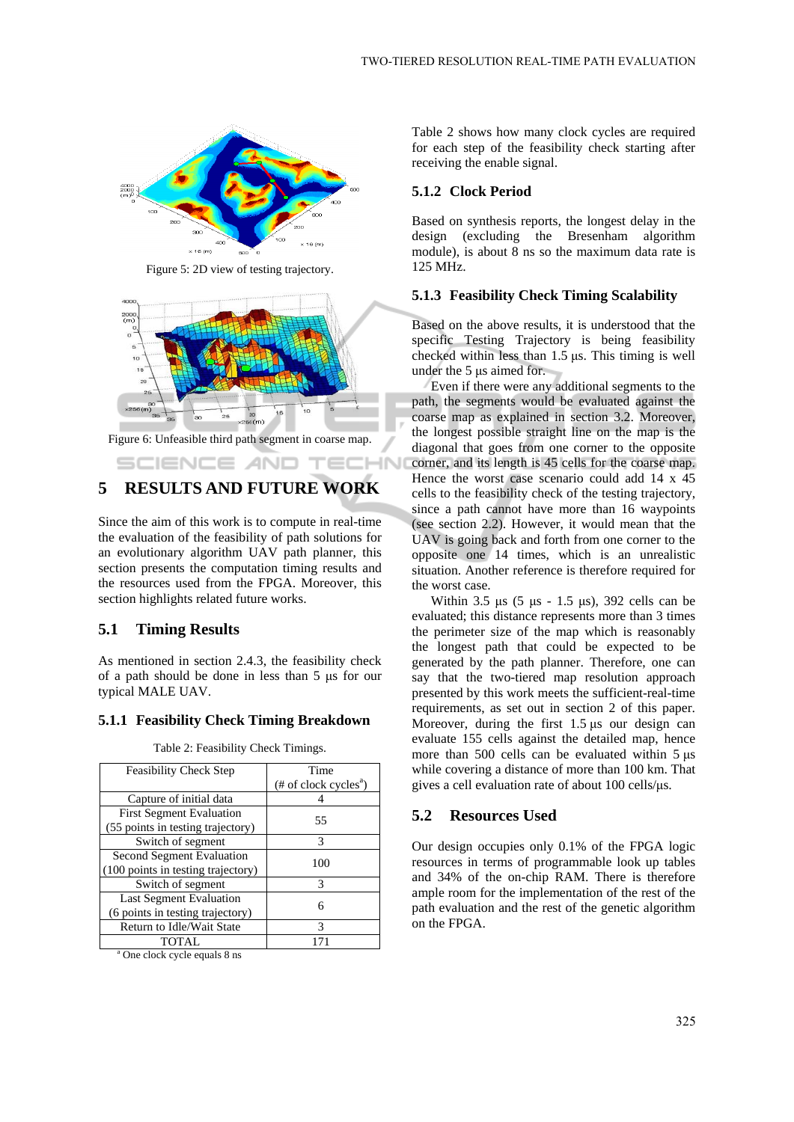

Figure 5: 2D view of testing trajectory.



Figure 6: Unfeasible third path segment in coarse map.

TECH

1N

SCIENCE *AND* 

# **5 RESULTS AND FUTURE WORK**

Since the aim of this work is to compute in real-time the evaluation of the feasibility of path solutions for an evolutionary algorithm UAV path planner, this section presents the computation timing results and the resources used from the FPGA. Moreover, this section highlights related future works.

#### **5.1 Timing Results**

As mentioned in section 2.4.3, the feasibility check of a path should be done in less than 5 μs for our typical MALE UAV.

#### **5.1.1 Feasibility Check Timing Breakdown**

| <b>Feasibility Check Step</b>            | Time                     |  |  |  |
|------------------------------------------|--------------------------|--|--|--|
|                                          | $(\# of clock cycles^a)$ |  |  |  |
| Capture of initial data                  |                          |  |  |  |
| <b>First Segment Evaluation</b>          | 55                       |  |  |  |
| (55 points in testing trajectory)        |                          |  |  |  |
| Switch of segment                        | 3                        |  |  |  |
| <b>Second Segment Evaluation</b>         | 100                      |  |  |  |
| (100 points in testing trajectory)       |                          |  |  |  |
| Switch of segment                        | 3                        |  |  |  |
| <b>Last Segment Evaluation</b>           | 6                        |  |  |  |
| (6 points in testing trajectory)         |                          |  |  |  |
| Return to Idle/Wait State                | 3                        |  |  |  |
| <b>TOTAL</b>                             | 171                      |  |  |  |
| <sup>a</sup> One clock cycle equals 8 ns |                          |  |  |  |

Table 2: Feasibility Check Timings.

Table 2 shows how many clock cycles are required for each step of the feasibility check starting after receiving the enable signal.

#### **5.1.2 Clock Period**

Based on synthesis reports, the longest delay in the design (excluding the Bresenham algorithm module), is about 8 ns so the maximum data rate is 125 MHz.

#### **5.1.3 Feasibility Check Timing Scalability**

Based on the above results, it is understood that the specific Testing Trajectory is being feasibility checked within less than 1.5 μs. This timing is well under the 5 μs aimed for.

Even if there were any additional segments to the path, the segments would be evaluated against the coarse map as explained in section 3.2. Moreover, the longest possible straight line on the map is the diagonal that goes from one corner to the opposite corner, and its length is 45 cells for the coarse map. Hence the worst case scenario could add 14 x 45 cells to the feasibility check of the testing trajectory, since a path cannot have more than 16 waypoints (see section 2.2). However, it would mean that the UAV is going back and forth from one corner to the opposite one 14 times, which is an unrealistic situation. Another reference is therefore required for the worst case.

Within 3.5 μs  $(5 \mu s - 1.5 \mu s)$ , 392 cells can be evaluated; this distance represents more than 3 times the perimeter size of the map which is reasonably the longest path that could be expected to be generated by the path planner. Therefore, one can say that the two-tiered map resolution approach presented by this work meets the sufficient-real-time requirements, as set out in section 2 of this paper. Moreover, during the first 1.5 μs our design can evaluate 155 cells against the detailed map, hence more than 500 cells can be evaluated within 5 μs while covering a distance of more than 100 km. That gives a cell evaluation rate of about 100 cells/μs.

## **5.2 Resources Used**

Our design occupies only 0.1% of the FPGA logic resources in terms of programmable look up tables and 34% of the on-chip RAM. There is therefore ample room for the implementation of the rest of the path evaluation and the rest of the genetic algorithm on the FPGA.